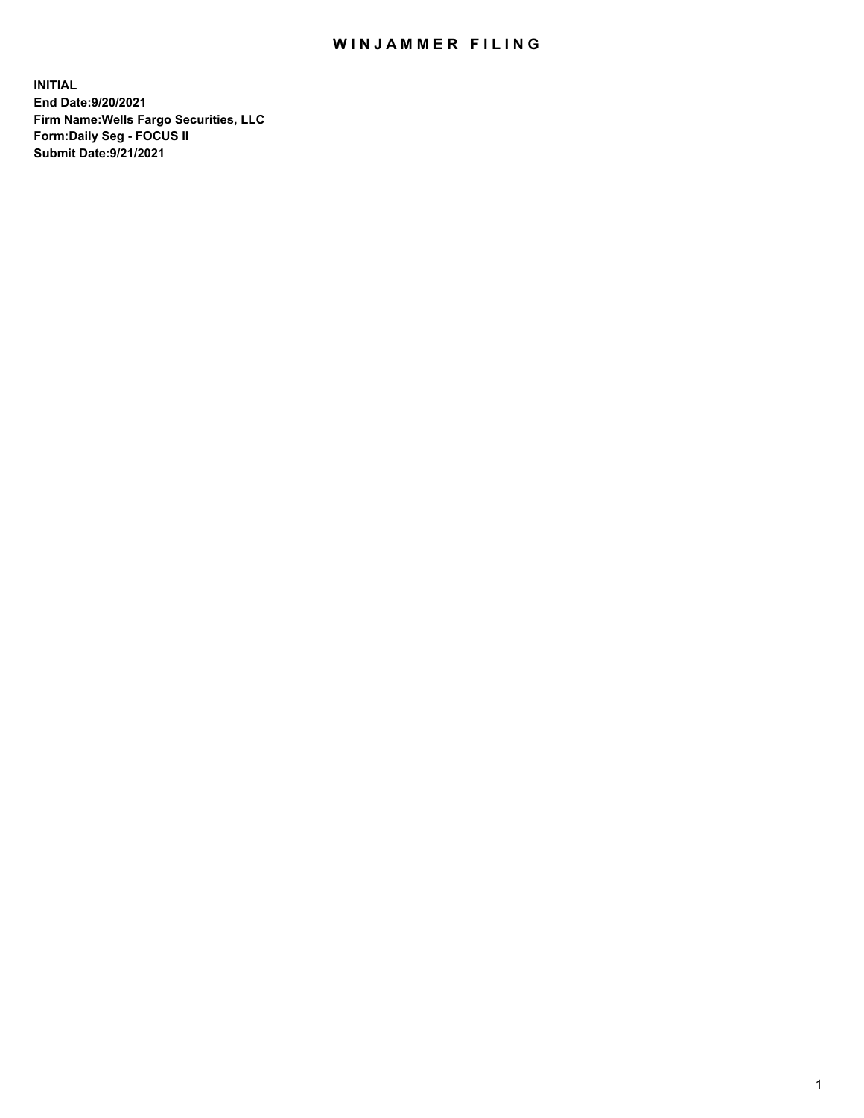## WIN JAMMER FILING

**INITIAL End Date:9/20/2021 Firm Name:Wells Fargo Securities, LLC Form:Daily Seg - FOCUS II Submit Date:9/21/2021**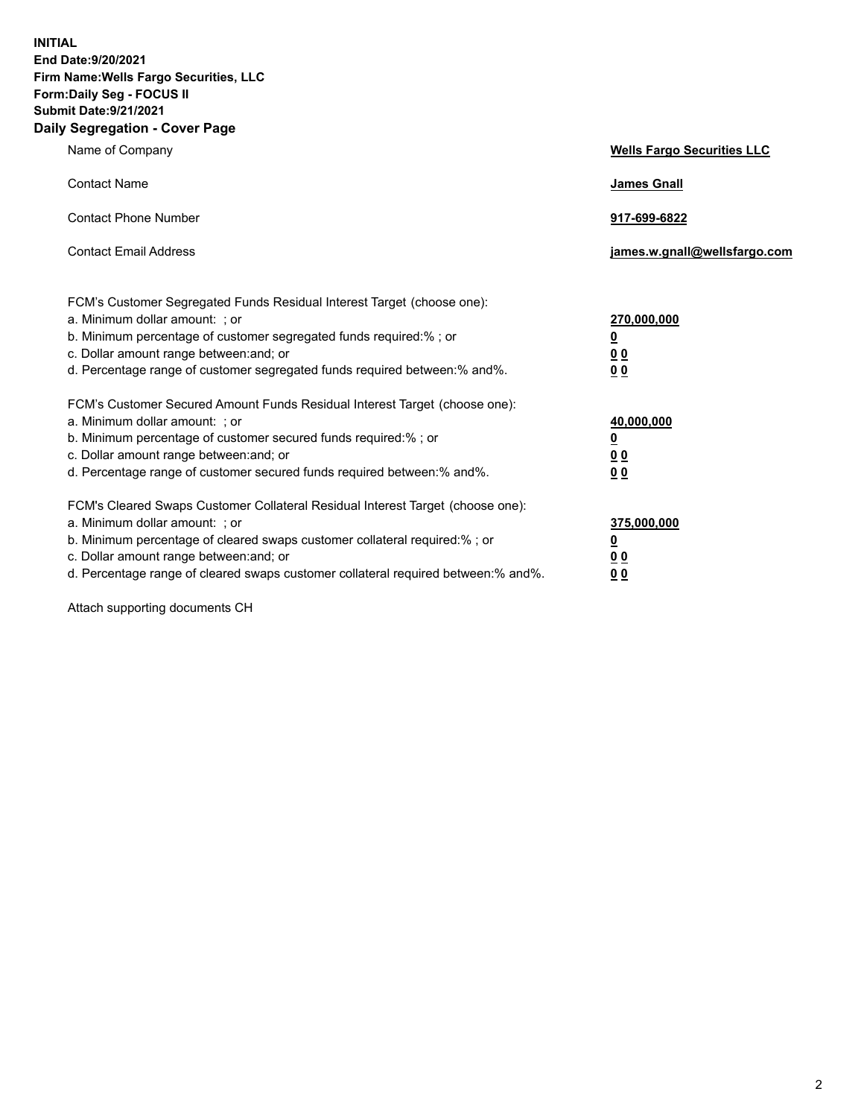**INITIAL End Date:9/20/2021 Firm Name:Wells Fargo Securities, LLC Form:Daily Seg - FOCUS II Submit Date:9/21/2021 Daily Segregation - Cover Page**

| Name of Company                                                                                                                                                                                                                                                                                                                | <b>Wells Fargo Securities LLC</b>                                          |
|--------------------------------------------------------------------------------------------------------------------------------------------------------------------------------------------------------------------------------------------------------------------------------------------------------------------------------|----------------------------------------------------------------------------|
| <b>Contact Name</b>                                                                                                                                                                                                                                                                                                            | <b>James Gnall</b>                                                         |
| <b>Contact Phone Number</b>                                                                                                                                                                                                                                                                                                    | 917-699-6822                                                               |
| <b>Contact Email Address</b>                                                                                                                                                                                                                                                                                                   | james.w.gnall@wellsfargo.com                                               |
| FCM's Customer Segregated Funds Residual Interest Target (choose one):<br>a. Minimum dollar amount: ; or<br>b. Minimum percentage of customer segregated funds required:% ; or<br>c. Dollar amount range between: and; or<br>d. Percentage range of customer segregated funds required between:% and%.                         | 270,000,000<br>$\underline{\mathbf{0}}$<br>00<br>00                        |
| FCM's Customer Secured Amount Funds Residual Interest Target (choose one):<br>a. Minimum dollar amount: ; or<br>b. Minimum percentage of customer secured funds required:%; or<br>c. Dollar amount range between: and; or<br>d. Percentage range of customer secured funds required between: % and %.                          | 40,000,000<br>$\underline{\mathbf{0}}$<br>0 <sub>0</sub><br>0 <sub>0</sub> |
| FCM's Cleared Swaps Customer Collateral Residual Interest Target (choose one):<br>a. Minimum dollar amount: ; or<br>b. Minimum percentage of cleared swaps customer collateral required:% ; or<br>c. Dollar amount range between: and; or<br>d. Percentage range of cleared swaps customer collateral required between:% and%. | 375,000,000<br><u>0</u><br>00<br><u>00</u>                                 |

Attach supporting documents CH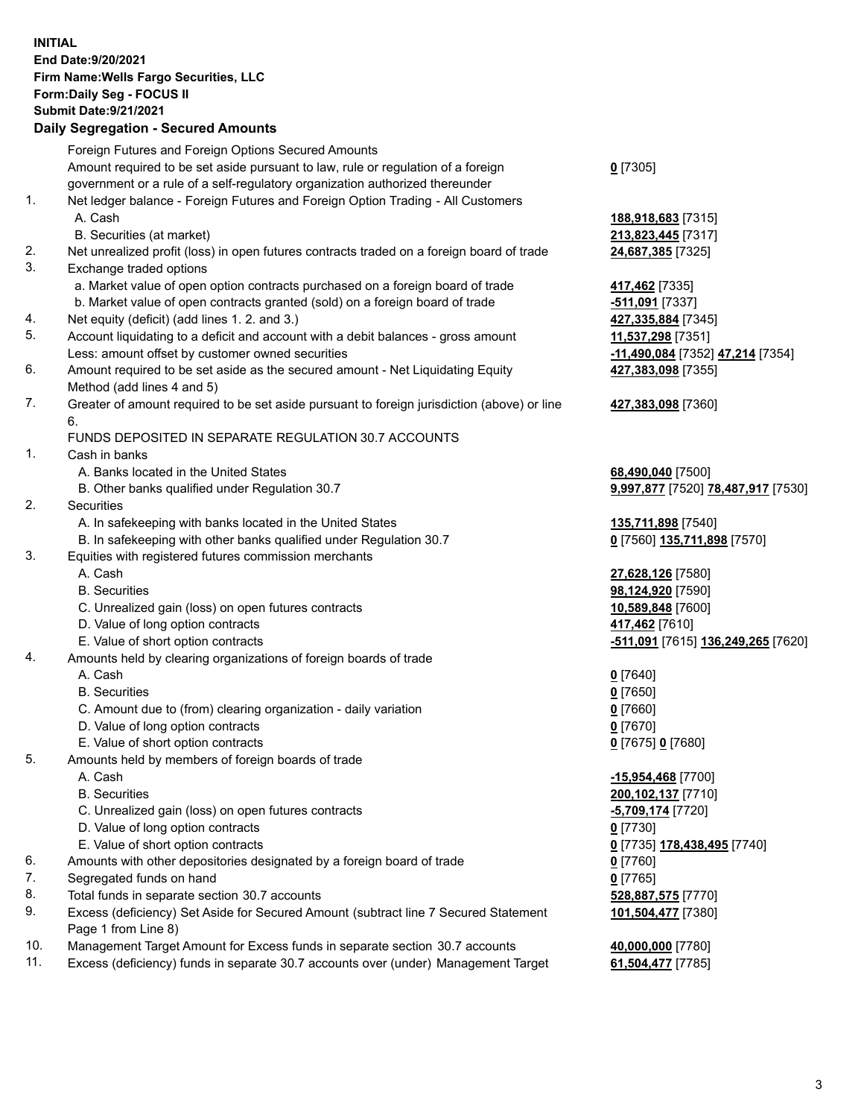**INITIAL End Date:9/20/2021 Firm Name:Wells Fargo Securities, LLC Form:Daily Seg - FOCUS II Submit Date:9/21/2021 Daily Segregation - Secured Amounts**

## Foreign Futures and Foreign Options Secured Amounts Amount required to be set aside pursuant to law, rule or regulation of a foreign government or a rule of a self-regulatory organization authorized thereunder

## 1. Net ledger balance - Foreign Futures and Foreign Option Trading - All Customers A. Cash **188,918,683** [7315]

- B. Securities (at market) **213,823,445** [7317]
- 2. Net unrealized profit (loss) in open futures contracts traded on a foreign board of trade **24,687,385** [7325]
- 3. Exchange traded options
	- a. Market value of open option contracts purchased on a foreign board of trade **417,462** [7335]
	- b. Market value of open contracts granted (sold) on a foreign board of trade **-511,091** [7337]
- 4. Net equity (deficit) (add lines 1. 2. and 3.) **427,335,884** [7345]
- 5. Account liquidating to a deficit and account with a debit balances gross amount **11,537,298** [7351] Less: amount offset by customer owned securities **-11,490,084** [7352] **47,214** [7354]
- 6. Amount required to be set aside as the secured amount Net Liquidating Equity Method (add lines 4 and 5)
- 7. Greater of amount required to be set aside pursuant to foreign jurisdiction (above) or line 6.

## FUNDS DEPOSITED IN SEPARATE REGULATION 30.7 ACCOUNTS

- 1. Cash in banks
	- A. Banks located in the United States **68,490,040** [7500]
	- B. Other banks qualified under Regulation 30.7 **9,997,877** [7520] **78,487,917** [7530]
- 2. Securities
	- A. In safekeeping with banks located in the United States **135,711,898** [7540]
	- B. In safekeeping with other banks qualified under Regulation 30.7 **0** [7560] **135,711,898** [7570]
- 3. Equities with registered futures commission merchants
	-
	-
	- C. Unrealized gain (loss) on open futures contracts **10,589,848** [7600]
	- D. Value of long option contracts **417,462** [7610]
	-
- 4. Amounts held by clearing organizations of foreign boards of trade
	- A. Cash **0** [7640]
	- B. Securities **0** [7650]
	- C. Amount due to (from) clearing organization daily variation **0** [7660]
	- D. Value of long option contracts **0** [7670]
	- E. Value of short option contracts **0** [7675] **0** [7680]
- 5. Amounts held by members of foreign boards of trade
	-
	-
	- C. Unrealized gain (loss) on open futures contracts **-5,709,174** [7720]
	- D. Value of long option contracts **0** [7730]
	- E. Value of short option contracts **0** [7735] **178,438,495** [7740]
- 6. Amounts with other depositories designated by a foreign board of trade **0** [7760]
- 7. Segregated funds on hand **0** [7765]
- 8. Total funds in separate section 30.7 accounts **528,887,575** [7770]
- 9. Excess (deficiency) Set Aside for Secured Amount (subtract line 7 Secured Statement Page 1 from Line 8)
- 10. Management Target Amount for Excess funds in separate section 30.7 accounts **40,000,000** [7780]
- 11. Excess (deficiency) funds in separate 30.7 accounts over (under) Management Target **61,504,477** [7785]

**0** [7305]

**427,383,098** [7355]

**427,383,098** [7360]

 A. Cash **27,628,126** [7580] B. Securities **98,124,920** [7590] E. Value of short option contracts **-511,091** [7615] **136,249,265** [7620]

 A. Cash **-15,954,468** [7700] B. Securities **200,102,137** [7710] **101,504,477** [7380]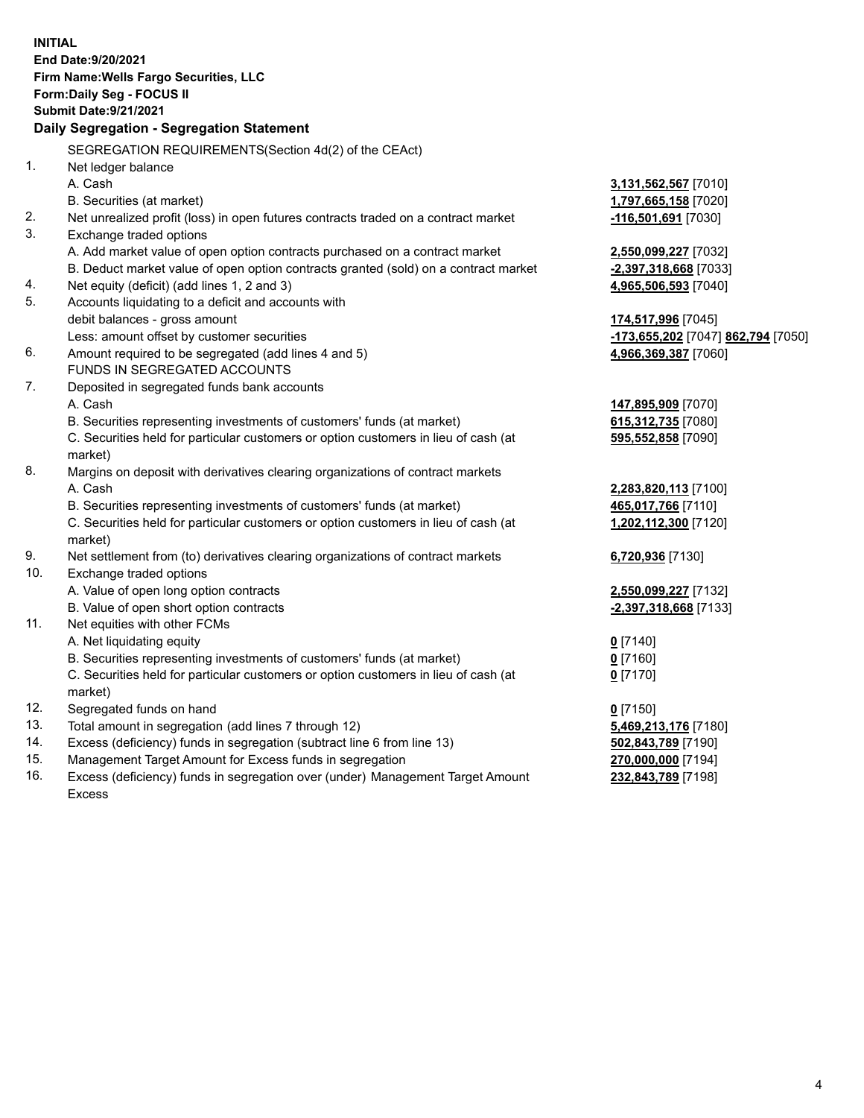**INITIAL End Date:9/20/2021 Firm Name:Wells Fargo Securities, LLC Form:Daily Seg - FOCUS II Submit Date:9/21/2021 Daily Segregation - Segregation Statement** SEGREGATION REQUIREMENTS(Section 4d(2) of the CEAct) 1. Net ledger balance A. Cash **3,131,562,567** [7010] B. Securities (at market) **1,797,665,158** [7020] 2. Net unrealized profit (loss) in open futures contracts traded on a contract market **-116,501,691** [7030] 3. Exchange traded options A. Add market value of open option contracts purchased on a contract market **2,550,099,227** [7032] B. Deduct market value of open option contracts granted (sold) on a contract market **-2,397,318,668** [7033] 4. Net equity (deficit) (add lines 1, 2 and 3) **4,965,506,593** [7040] 5. Accounts liquidating to a deficit and accounts with debit balances - gross amount **174,517,996** [7045] Less: amount offset by customer securities **-173,655,202** [7047] **862,794** [7050] 6. Amount required to be segregated (add lines 4 and 5) **4,966,369,387** [7060] FUNDS IN SEGREGATED ACCOUNTS 7. Deposited in segregated funds bank accounts A. Cash **147,895,909** [7070] B. Securities representing investments of customers' funds (at market) **615,312,735** [7080] C. Securities held for particular customers or option customers in lieu of cash (at market) **595,552,858** [7090] 8. Margins on deposit with derivatives clearing organizations of contract markets A. Cash **2,283,820,113** [7100] B. Securities representing investments of customers' funds (at market) **465,017,766** [7110] C. Securities held for particular customers or option customers in lieu of cash (at market) **1,202,112,300** [7120] 9. Net settlement from (to) derivatives clearing organizations of contract markets **6,720,936** [7130] 10. Exchange traded options A. Value of open long option contracts **2,550,099,227** [7132] B. Value of open short option contracts **-2,397,318,668** [7133] 11. Net equities with other FCMs A. Net liquidating equity **0** [7140] B. Securities representing investments of customers' funds (at market) **0** [7160] C. Securities held for particular customers or option customers in lieu of cash (at market) **0** [7170] 12. Segregated funds on hand **0** [7150] 13. Total amount in segregation (add lines 7 through 12) **5,469,213,176** [7180] 14. Excess (deficiency) funds in segregation (subtract line 6 from line 13) **502,843,789** [7190] 15. Management Target Amount for Excess funds in segregation **270,000,000** [7194] 16. Excess (deficiency) funds in segregation over (under) Management Target Amount **232,843,789** [7198]

Excess